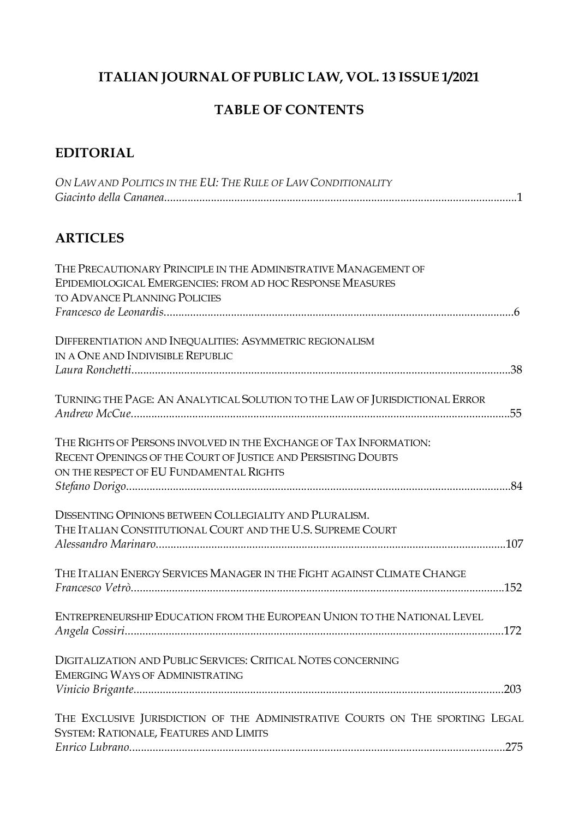# <span id="page-0-2"></span><span id="page-0-1"></span><span id="page-0-0"></span>**ITALIAN JOURNAL OF PUBLIC LAW, VOL. 13 ISSUE 1/2021**

# **TABLE OF CONTENTS**

## **EDITORIAL**

| ON LAW AND POLITICS IN THE EU: THE RULE OF LAW CONDITIONALITY |
|---------------------------------------------------------------|
|                                                               |

## **ARTICLES**

| THE PRECAUTIONARY PRINCIPLE IN THE ADMINISTRATIVE MANAGEMENT OF<br>EPIDEMIOLOGICAL EMERGENCIES: FROM AD HOC RESPONSE MEASURES<br><b>TO ADVANCE PLANNING POLICIES</b>           |  |
|--------------------------------------------------------------------------------------------------------------------------------------------------------------------------------|--|
|                                                                                                                                                                                |  |
| DIFFERENTIATION AND INEQUALITIES: ASYMMETRIC REGIONALISM<br>IN A ONE AND INDIVISIBLE REPUBLIC                                                                                  |  |
|                                                                                                                                                                                |  |
| TURNING THE PAGE: AN ANALYTICAL SOLUTION TO THE LAW OF JURISDICTIONAL ERROR                                                                                                    |  |
| THE RIGHTS OF PERSONS INVOLVED IN THE EXCHANGE OF TAX INFORMATION:<br>RECENT OPENINGS OF THE COURT OF JUSTICE AND PERSISTING DOUBTS<br>ON THE RESPECT OF EU FUNDAMENTAL RIGHTS |  |
|                                                                                                                                                                                |  |
| DISSENTING OPINIONS BETWEEN COLLEGIALITY AND PLURALISM.<br>THE ITALIAN CONSTITUTIONAL COURT AND THE U.S. SUPREME COURT                                                         |  |
| THE ITALIAN ENERGY SERVICES MANAGER IN THE FIGHT AGAINST CLIMATE CHANGE                                                                                                        |  |
| ENTREPRENEURSHIP EDUCATION FROM THE EUROPEAN UNION TO THE NATIONAL LEVEL                                                                                                       |  |
| DIGITALIZATION AND PUBLIC SERVICES: CRITICAL NOTES CONCERNING<br><b>EMERGING WAYS OF ADMINISTRATING</b>                                                                        |  |
| THE EXCLUSIVE JURISDICTION OF THE ADMINISTRATIVE COURTS ON THE SPORTING LEGAL<br>SYSTEM: RATIONALE, FEATURES AND LIMITS                                                        |  |
|                                                                                                                                                                                |  |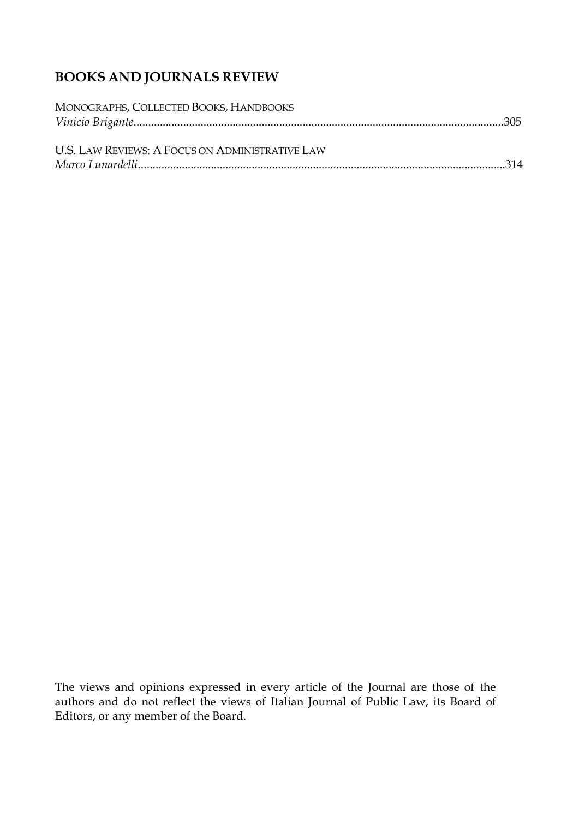# **BOOKS AND JOURNALS REVIEW**

| MONOGRAPHS, COLLECTED BOOKS, HANDBOOKS          |  |
|-------------------------------------------------|--|
| U.S. LAW REVIEWS: A FOCUS ON ADMINISTRATIVE LAW |  |

The views and opinions expressed in every article of the Journal are those of the authors and do not reflect the views of Italian Journal of Public Law, its Board of Editors, or any member of the Board.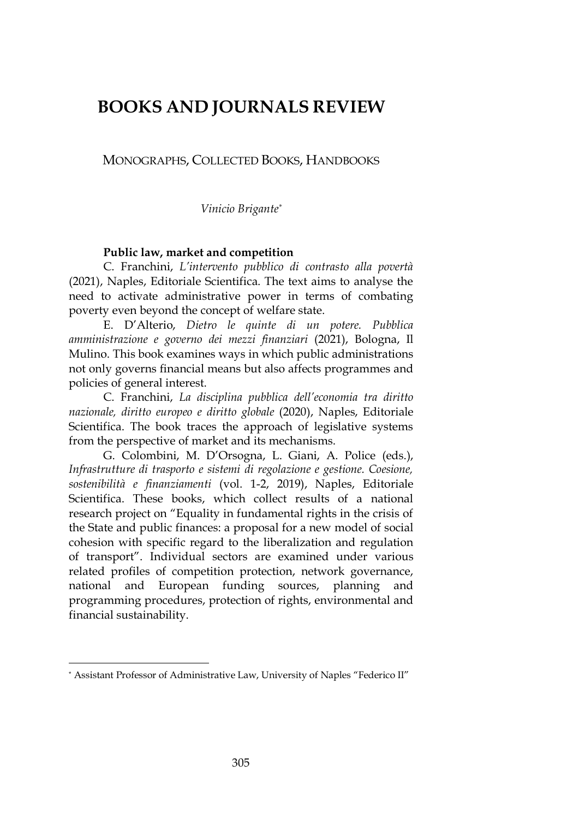# **BOOKS AND JOURNALS REVIEW**

### MONOGRAPHS, COLLECTED BOOKS, HANDBOOKS

*Vinicio Brigante\**

### **Public law, market and competition**

C. Franchini, *L'intervento pubblico di contrasto alla povertà* (2021), Naples, Editoriale Scientifica. The text aims to analyse the need to activate administrative power in terms of combating poverty even beyond the concept of welfare state.

E. D'Alterio, *Dietro le quinte di un potere. Pubblica amministrazione e governo dei mezzi finanziari* (2021), Bologna, Il Mulino. This book examines ways in which public administrations not only governs financial means but also affects programmes and policies of general interest.

C. Franchini, *La disciplina pubblica dell'economia tra diritto nazionale, diritto europeo e diritto globale* (2020), Naples, Editoriale Scientifica. The book traces the approach of legislative systems from the perspective of market and its mechanisms.

G. Colombini, M. D'Orsogna, L. Giani, A. Police (eds.), *Infrastrutture di trasporto e sistemi di regolazione e gestione. Coesione, sostenibilità e finanziamenti* (vol. 1-2, 2019), Naples, Editoriale Scientifica. These books, which collect results of a national research project on "Equality in fundamental rights in the crisis of the State and public finances: a proposal for a new model of social cohesion with specific regard to the liberalization and regulation of transport". Individual sectors are examined under various related profiles of competition protection, network governance, national and European funding sources, planning and programming procedures, protection of rights, environmental and financial sustainability.

 $\overline{a}$ 

<sup>\*</sup> Assistant Professor of Administrative Law, University of Naples "Federico II"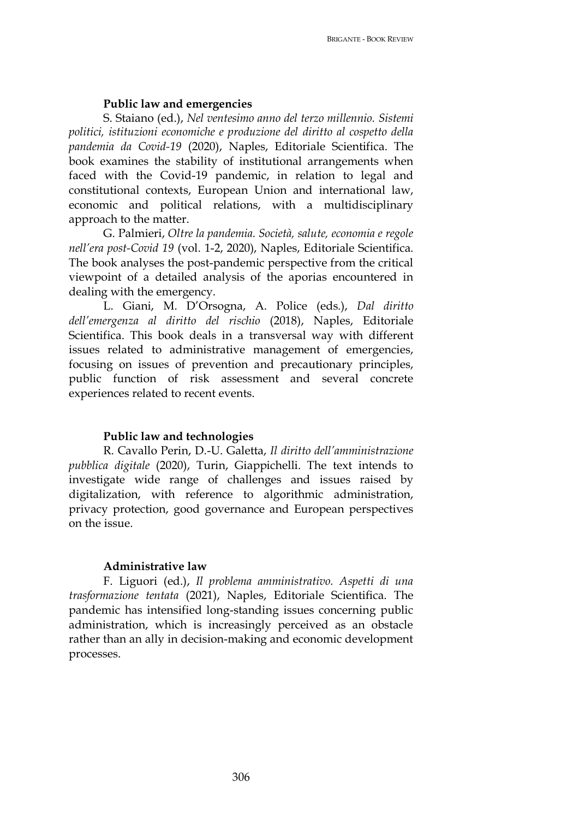#### **Public law and emergencies**

S. Staiano (ed.), *Nel ventesimo anno del terzo millennio. Sistemi politici, istituzioni economiche e produzione del diritto al cospetto della pandemia da Covid-19* (2020), Naples, Editoriale Scientifica. The book examines the stability of institutional arrangements when faced with the Covid-19 pandemic, in relation to legal and constitutional contexts, European Union and international law, economic and political relations, with a multidisciplinary approach to the matter.

G. Palmieri, *Oltre la pandemia. Società, salute, economia e regole nell'era post-Covid 19* (vol. 1-2, 2020), Naples, Editoriale Scientifica. The book analyses the post-pandemic perspective from the critical viewpoint of a detailed analysis of the aporias encountered in dealing with the emergency.

L. Giani, M. D'Orsogna, A. Police (eds.), *Dal diritto dell'emergenza al diritto del rischio* (2018), Naples, Editoriale Scientifica. This book deals in a transversal way with different issues related to administrative management of emergencies, focusing on issues of prevention and precautionary principles, public function of risk assessment and several concrete experiences related to recent events.

#### **Public law and technologies**

R. Cavallo Perin, D.-U. Galetta, *Il diritto dell'amministrazione pubblica digitale* (2020), Turin, Giappichelli. The text intends to investigate wide range of challenges and issues raised by digitalization, with reference to algorithmic administration, privacy protection, good governance and European perspectives on the issue.

#### **Administrative law**

F. Liguori (ed.), *Il problema amministrativo. Aspetti di una trasformazione tentata* (2021), Naples, Editoriale Scientifica. The pandemic has intensified long-standing issues concerning public administration, which is increasingly perceived as an obstacle rather than an ally in decision-making and economic development processes.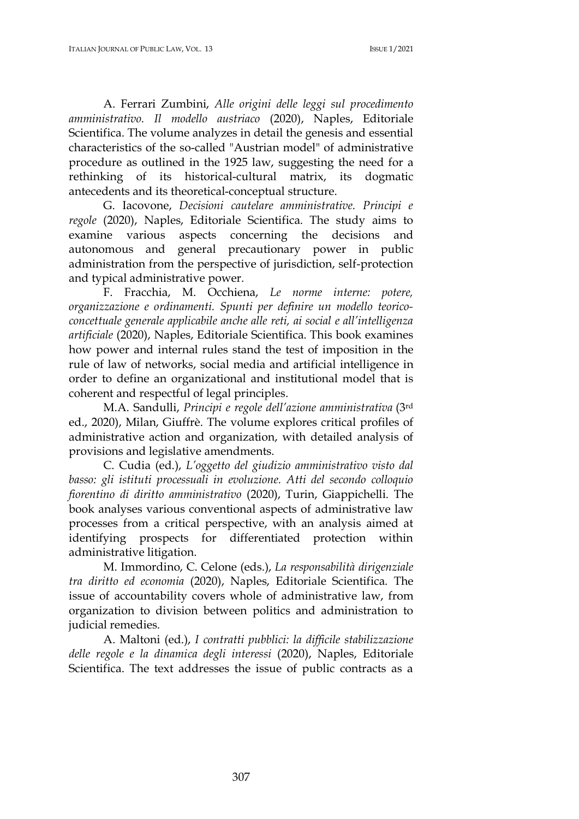A. Ferrari Zumbini, *Alle origini delle leggi sul procedimento amministrativo. Il modello austriaco* (2020), Naples, Editoriale Scientifica. The volume analyzes in detail the genesis and essential characteristics of the so-called "Austrian model" of administrative procedure as outlined in the 1925 law, suggesting the need for a rethinking of its historical-cultural matrix, its dogmatic antecedents and its theoretical-conceptual structure.

G. Iacovone, *Decisioni cautelare amministrative. Principi e regole* (2020), Naples, Editoriale Scientifica. The study aims to examine various aspects concerning the decisions and autonomous and general precautionary power in public administration from the perspective of jurisdiction, self-protection and typical administrative power.

F. Fracchia, M. Occhiena, *Le norme interne: potere, organizzazione e ordinamenti. Spunti per definire un modello teoricoconcettuale generale applicabile anche alle reti, ai social e all'intelligenza artificiale* (2020), Naples, Editoriale Scientifica. This book examines how power and internal rules stand the test of imposition in the rule of law of networks, social media and artificial intelligence in order to define an organizational and institutional model that is coherent and respectful of legal principles.

M.A. Sandulli, *Principi e regole dell'azione amministrativa* (3rd ed., 2020), Milan, Giuffrè. The volume explores critical profiles of administrative action and organization, with detailed analysis of provisions and legislative amendments.

C. Cudia (ed.), *L'oggetto del giudizio amministrativo visto dal basso: gli istituti processuali in evoluzione. Atti del secondo colloquio fiorentino di diritto amministrativo* (2020), Turin, Giappichelli. The book analyses various conventional aspects of administrative law processes from a critical perspective, with an analysis aimed at identifying prospects for differentiated protection within administrative litigation.

M. Immordino, C. Celone (eds.), *La responsabilità dirigenziale tra diritto ed economia* (2020), Naples, Editoriale Scientifica. The issue of accountability covers whole of administrative law, from organization to division between politics and administration to judicial remedies.

A. Maltoni (ed.), *I contratti pubblici: la difficile stabilizzazione delle regole e la dinamica degli interessi* (2020), Naples, Editoriale Scientifica. The text addresses the issue of public contracts as a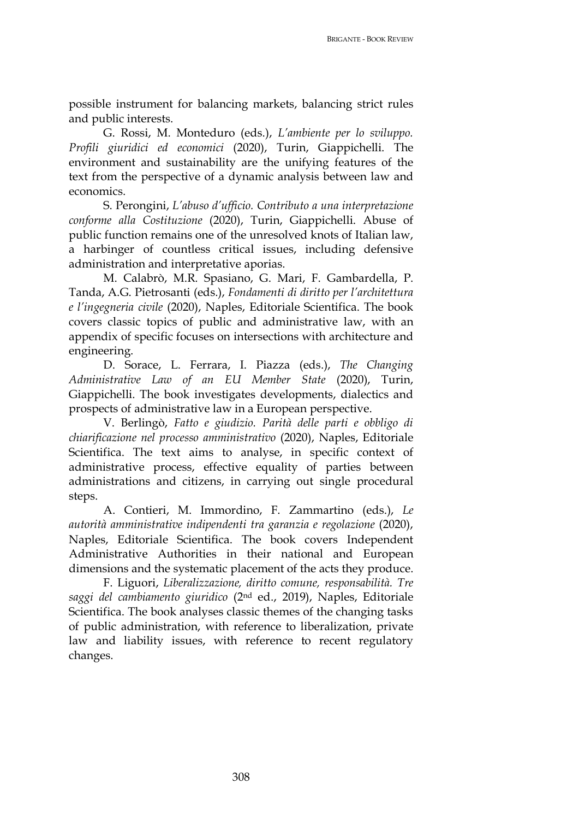possible instrument for balancing markets, balancing strict rules and public interests.

G. Rossi, M. Monteduro (eds.), *L'ambiente per lo sviluppo. Profili giuridici ed economici* (2020), Turin, Giappichelli. The environment and sustainability are the unifying features of the text from the perspective of a dynamic analysis between law and economics.

S. Perongini, *L'abuso d'ufficio. Contributo a una interpretazione conforme alla Costituzione* (2020), Turin, Giappichelli. Abuse of public function remains one of the unresolved knots of Italian law, a harbinger of countless critical issues, including defensive administration and interpretative aporias.

M. Calabrò, M.R. Spasiano, G. Mari, F. Gambardella, P. Tanda, A.G. Pietrosanti (eds.), *Fondamenti di diritto per l'architettura e l'ingegneria civile* (2020), Naples, Editoriale Scientifica. The book covers classic topics of public and administrative law, with an appendix of specific focuses on intersections with architecture and engineering.

D. Sorace, L. Ferrara, I. Piazza (eds.), *The Changing Administrative Law of an EU Member State* (2020), Turin, Giappichelli. The book investigates developments, dialectics and prospects of administrative law in a European perspective.

V. Berlingò, *Fatto e giudizio. Parità delle parti e obbligo di chiarificazione nel processo amministrativo* (2020), Naples, Editoriale Scientifica. The text aims to analyse, in specific context of administrative process, effective equality of parties between administrations and citizens, in carrying out single procedural steps.

A. Contieri, M. Immordino, F. Zammartino (eds.), *Le autorità amministrative indipendenti tra garanzia e regolazione* (2020), Naples, Editoriale Scientifica. The book covers Independent Administrative Authorities in their national and European dimensions and the systematic placement of the acts they produce.

F. Liguori, *Liberalizzazione, diritto comune, responsabilità. Tre saggi del cambiamento giuridico* (2nd ed., 2019), Naples, Editoriale Scientifica. The book analyses classic themes of the changing tasks of public administration, with reference to liberalization, private law and liability issues, with reference to recent regulatory changes.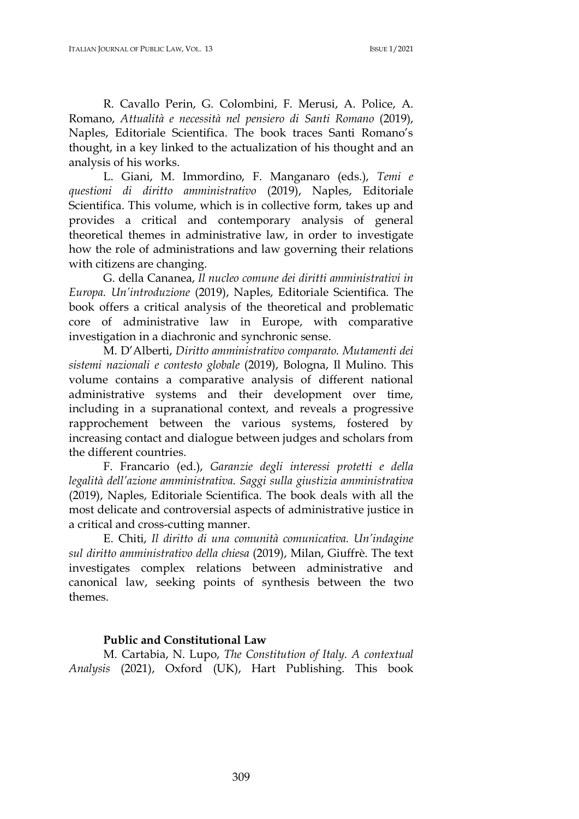R. Cavallo Perin, G. Colombini, F. Merusi, A. Police, A. Romano, *Attualità e necessità nel pensiero di Santi Romano* (2019), Naples, Editoriale Scientifica. The book traces Santi Romano's thought, in a key linked to the actualization of his thought and an analysis of his works.

L. Giani, M. Immordino, F. Manganaro (eds.), *Temi e questioni di diritto amministrativo* (2019), Naples, Editoriale Scientifica. This volume, which is in collective form, takes up and provides a critical and contemporary analysis of general theoretical themes in administrative law, in order to investigate how the role of administrations and law governing their relations with citizens are changing.

G. della Cananea, *Il nucleo comune dei diritti amministrativi in Europa. Un'introduzione* (2019), Naples, Editoriale Scientifica. The book offers a critical analysis of the theoretical and problematic core of administrative law in Europe, with comparative investigation in a diachronic and synchronic sense.

M. D'Alberti, *Diritto amministrativo comparato. Mutamenti dei sistemi nazionali e contesto globale* (2019), Bologna, Il Mulino. This volume contains a comparative analysis of different national administrative systems and their development over time, including in a supranational context, and reveals a progressive rapprochement between the various systems, fostered by increasing contact and dialogue between judges and scholars from the different countries.

F. Francario (ed.), *Garanzie degli interessi protetti e della legalità dell'azione amministrativa. Saggi sulla giustizia amministrativa* (2019), Naples, Editoriale Scientifica. The book deals with all the most delicate and controversial aspects of administrative justice in a critical and cross-cutting manner.

E. Chiti, *Il diritto di una comunità comunicativa. Un'indagine sul diritto amministrativo della chiesa* (2019), Milan, Giuffrè. The text investigates complex relations between administrative and canonical law, seeking points of synthesis between the two themes.

#### **Public and Constitutional Law**

M. Cartabia, N. Lupo, *The Constitution of Italy. A contextual Analysis* (2021), Oxford (UK), Hart Publishing. This book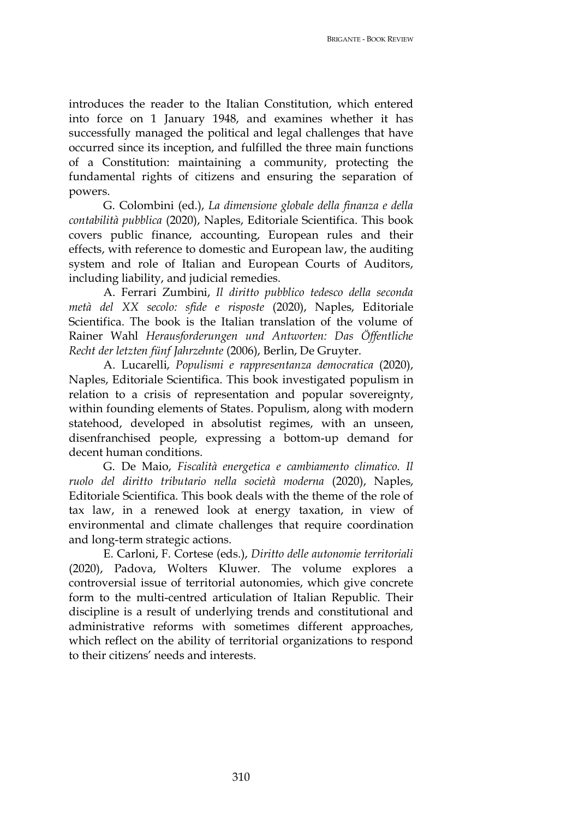BRIGANTE - BOOK REVIEW

introduces the reader to the Italian Constitution, which entered into force on 1 January 1948, and examines whether it has successfully managed the political and legal challenges that have occurred since its inception, and fulfilled the three main functions of a Constitution: maintaining a community, protecting the fundamental rights of citizens and ensuring the separation of powers.

G. Colombini (ed.), *La dimensione globale della finanza e della contabilità pubblica* (2020), Naples, Editoriale Scientifica. This book covers public finance, accounting, European rules and their effects, with reference to domestic and European law, the auditing system and role of Italian and European Courts of Auditors, including liability, and judicial remedies.

A. Ferrari Zumbini, *Il diritto pubblico tedesco della seconda metà del XX secolo: sfide e risposte* (2020), Naples, Editoriale Scientifica. The book is the Italian translation of the volume of Rainer Wahl *Herausforderungen und Antworten: Das Öffentliche Recht der letzten fünf Jahrzehnte* (2006), Berlin, De Gruyter.

A. Lucarelli, *Populismi e rappresentanza democratica* (2020), Naples, Editoriale Scientifica. This book investigated populism in relation to a crisis of representation and popular sovereignty, within founding elements of States. Populism, along with modern statehood, developed in absolutist regimes, with an unseen, disenfranchised people, expressing a bottom-up demand for decent human conditions.

G. De Maio, *Fiscalità energetica e cambiamento climatico. Il ruolo del diritto tributario nella società moderna* (2020), Naples, Editoriale Scientifica. This book deals with the theme of the role of tax law, in a renewed look at energy taxation, in view of environmental and climate challenges that require coordination and long-term strategic actions.

E. Carloni, F. Cortese (eds.), *Diritto delle autonomie territoriali* (2020), Padova, Wolters Kluwer. The volume explores a controversial issue of territorial autonomies, which give concrete form to the multi-centred articulation of Italian Republic. Their discipline is a result of underlying trends and constitutional and administrative reforms with sometimes different approaches, which reflect on the ability of territorial organizations to respond to their citizens' needs and interests.

310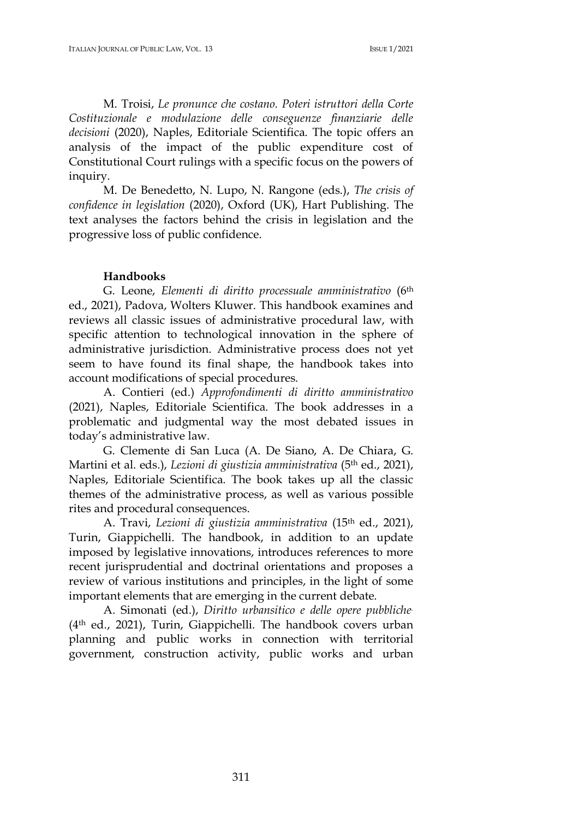M. Troisi, *Le pronunce che costano. Poteri istruttori della Corte Costituzionale e modulazione delle conseguenze finanziarie delle decisioni* (2020), Naples, Editoriale Scientifica. The topic offers an analysis of the impact of the public expenditure cost of Constitutional Court rulings with a specific focus on the powers of inquiry.

M. De Benedetto, N. Lupo, N. Rangone (eds.), *The crisis of confidence in legislation* (2020), Oxford (UK), Hart Publishing. The text analyses the factors behind the crisis in legislation and the progressive loss of public confidence.

### **Handbooks**

G. Leone, *Elementi di diritto processuale amministrativo* (6th ed., 2021), Padova, Wolters Kluwer. This handbook examines and reviews all classic issues of administrative procedural law, with specific attention to technological innovation in the sphere of administrative jurisdiction. Administrative process does not yet seem to have found its final shape, the handbook takes into account modifications of special procedures.

A. Contieri (ed.) *Approfondimenti di diritto amministrativo* (2021), Naples, Editoriale Scientifica. The book addresses in a problematic and judgmental way the most debated issues in today's administrative law.

G. Clemente di San Luca (A. De Siano, A. De Chiara, G. Martini et al. eds.), *Lezioni di giustizia amministrativa* (5th ed., 2021), Naples, Editoriale Scientifica. The book takes up all the classic themes of the administrative process, as well as various possible rites and procedural consequences.

A. Travi, *Lezioni di giustizia amministrativa* (15th ed., 2021), Turin, Giappichelli. The handbook, in addition to an update imposed by legislative innovations, introduces references to more recent jurisprudential and doctrinal orientations and proposes a review of various institutions and principles, in the light of some important elements that are emerging in the current debate.

A. Simonati (ed.), *Diritto urbansitico e delle opere pubbliche.* (4th ed., 2021), Turin, Giappichelli. The handbook covers urban planning and public works in connection with territorial government, construction activity, public works and urban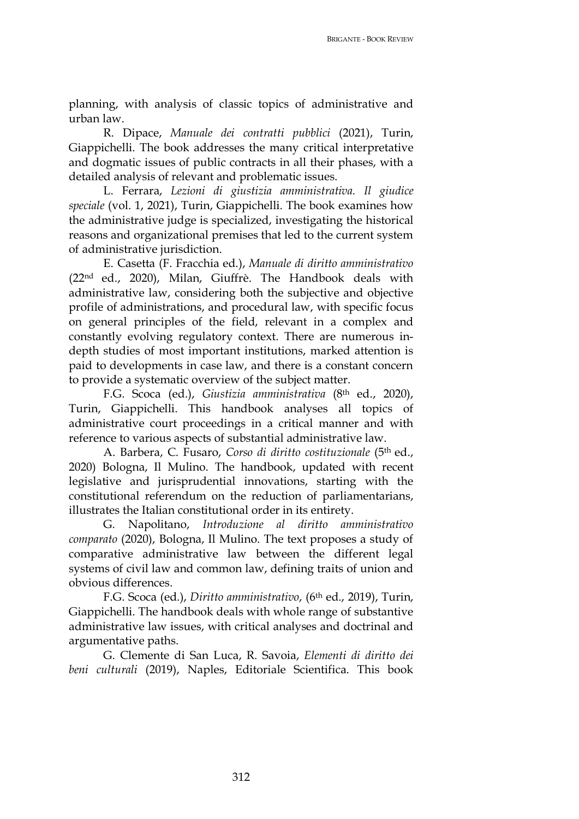planning, with analysis of classic topics of administrative and urban law.

R. Dipace, *Manuale dei contratti pubblici* (2021), Turin, Giappichelli. The book addresses the many critical interpretative and dogmatic issues of public contracts in all their phases, with a detailed analysis of relevant and problematic issues.

L. Ferrara, *Lezioni di giustizia amministrativa. Il giudice speciale* (vol. 1, 2021), Turin, Giappichelli. The book examines how the administrative judge is specialized, investigating the historical reasons and organizational premises that led to the current system of administrative jurisdiction.

E. Casetta (F. Fracchia ed.), *Manuale di diritto amministrativo* (22nd ed., 2020), Milan, Giuffrè. The Handbook deals with administrative law, considering both the subjective and objective profile of administrations, and procedural law, with specific focus on general principles of the field, relevant in a complex and constantly evolving regulatory context. There are numerous indepth studies of most important institutions, marked attention is paid to developments in case law, and there is a constant concern to provide a systematic overview of the subject matter.

F.G. Scoca (ed.), *Giustizia amministrativa* (8th ed., 2020), Turin, Giappichelli. This handbook analyses all topics of administrative court proceedings in a critical manner and with reference to various aspects of substantial administrative law.

A. Barbera, C. Fusaro, *Corso di diritto costituzionale* (5th ed., 2020) Bologna, Il Mulino. The handbook, updated with recent legislative and jurisprudential innovations, starting with the constitutional referendum on the reduction of parliamentarians, illustrates the Italian constitutional order in its entirety.

G. Napolitano, *Introduzione al diritto amministrativo comparato* (2020), Bologna, Il Mulino. The text proposes a study of comparative administrative law between the different legal systems of civil law and common law, defining traits of union and obvious differences.

F.G. Scoca (ed.), *Diritto amministrativo*, (6th ed., 2019), Turin, Giappichelli. The handbook deals with whole range of substantive administrative law issues, with critical analyses and doctrinal and argumentative paths.

G. Clemente di San Luca, R. Savoia, *Elementi di diritto dei beni culturali* (2019), Naples, Editoriale Scientifica. This book